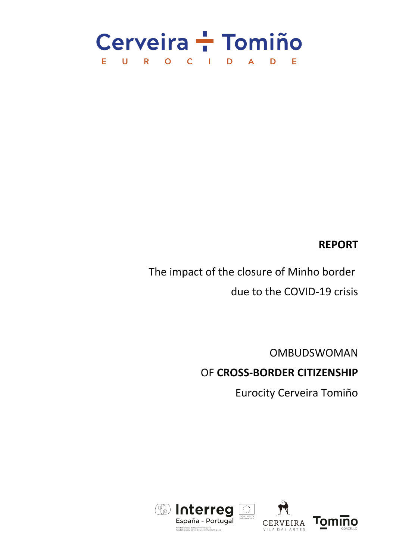

# **REPORT**

The impact of the closure of Minho border due to the COVID-19 crisis

> OMBUDSWOMAN OF **CROSS-BORDER CITIZENSHIP**

> > Eurocity Cerveira Tomiño



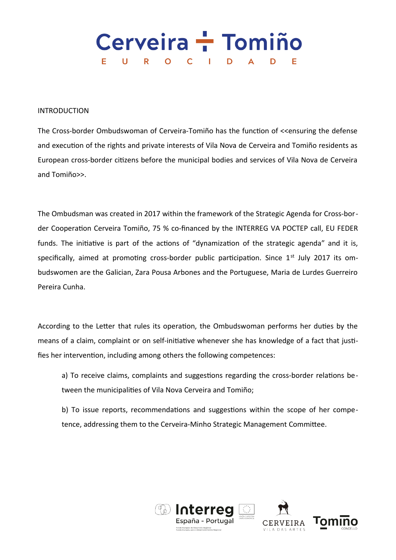### Cerveira - Tomiño E.  $\mathbf U$ R.  $O$   $C$ D  $\mathbb{R}^n$ D

## INTRODUCTION

The Cross-border Ombudswoman of Cerveira-Tomiño has the function of <<ensuring the defense and execution of the rights and private interests of Vila Nova de Cerveira and Tomiño residents as European cross-border citizens before the municipal bodies and services of Vila Nova de Cerveira and Tomiño>>.

The Ombudsman was created in 2017 within the framework of the Strategic Agenda for Cross-border Cooperation Cerveira Tomiño, 75 % co-financed by the INTERREG VA POCTEP call, EU FEDER funds. The initiative is part of the actions of "dynamization of the strategic agenda" and it is, specifically, aimed at promoting cross-border public participation. Since  $1<sup>st</sup>$  July 2017 its ombudswomen are the Galician, Zara Pousa Arbones and the Portuguese, Maria de Lurdes Guerreiro Pereira Cunha.

According to the Letter that rules its operation, the Ombudswoman performs her duties by the means of a claim, complaint or on self-initiative whenever she has knowledge of a fact that justifies her intervention, including among others the following competences:

a) To receive claims, complaints and suggestions regarding the cross-border relations between the municipalities of Vila Nova Cerveira and Tomiño;

b) To issue reports, recommendations and suggestions within the scope of her competence, addressing them to the Cerveira-Minho Strategic Management Committee.

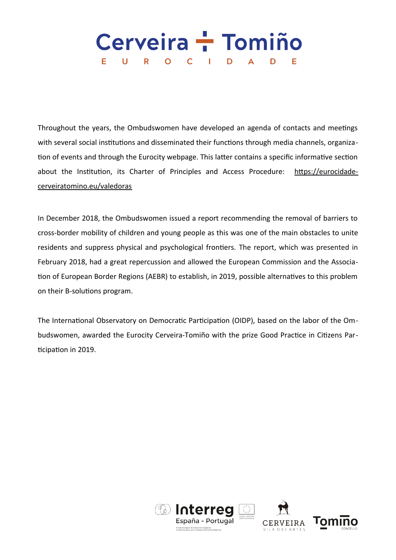### Cerveira - Tomiño E.  $\mathbf U$ R.  $\overline{O}$  $\mathsf{C}$ D D  $\mathbb{R}^n$

Throughout the years, the Ombudswomen have developed an agenda of contacts and meetings with several social institutions and disseminated their functions through media channels, organization of events and through the Eurocity webpage. This latter contains a specific informative section about the Institution, its Charter of Principles and Access Procedure: [https://eurocidade](https://eurocidadecerveiratomino.eu/valedoras)[cerveiratomino.eu/valedoras](https://eurocidadecerveiratomino.eu/valedoras)

In December 2018, the Ombudswomen issued a report recommending the removal of barriers to cross-border mobility of children and young people as this was one of the main obstacles to unite residents and suppress physical and psychological frontiers. The report, which was presented in February 2018, had a great repercussion and allowed the European Commission and the Association of European Border Regions (AEBR) to establish, in 2019, possible alternatives to this problem on their B-solutions program.

The International Observatory on Democratic Participation (OIDP), based on the labor of the Ombudswomen, awarded the Eurocity Cerveira-Tomiño with the prize Good Practice in Citizens Participation in 2019.

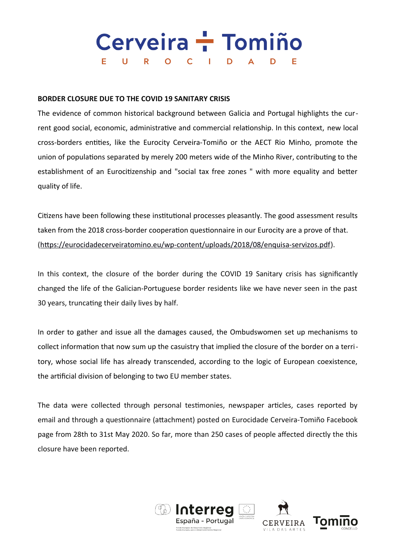## Cerveira - Tomiño  $\cup$  $\mathsf{C}$ D Е  $\mathbf{O}$

## **BORDER CLOSURE DUE TO THE COVID 19 SANITARY CRISIS**

The evidence of common historical background between Galicia and Portugal highlights the current good social, economic, administrative and commercial relationship. In this context, new local cross-borders entities, like the Eurocity Cerveira-Tomiño or the AECT Rio Minho, promote the union of populations separated by merely 200 meters wide of the Minho River, contributing to the establishment of an Eurocitizenship and "social tax free zones " with more equality and better quality of life.

Citizens have been following these institutional processes pleasantly. The good assessment results taken from the 2018 cross-border cooperation questionnaire in our Eurocity are a prove of that. [\(https://eurocidadecerveiratomino.eu/wp-content/uploads/2018/08/enquisa-servizos.pdf](https://eurocidadecerveiratomino.eu/wp-content/uploads/2018/08/enquisa-servizos.pdf)).

In this context, the closure of the border during the COVID 19 Sanitary crisis has significantly changed the life of the Galician-Portuguese border residents like we have never seen in the past 30 years, truncating their daily lives by half.

In order to gather and issue all the damages caused, the Ombudswomen set up mechanisms to collect information that now sum up the casuistry that implied the closure of the border on a territory, whose social life has already transcended, according to the logic of European coexistence, the artificial division of belonging to two EU member states.

The data were collected through personal testimonies, newspaper articles, cases reported by email and through a questionnaire (attachment) posted on Eurocidade Cerveira-Tomiño Facebook page from 28th to 31st May 2020. So far, more than 250 cases of people affected directly the this closure have been reported.



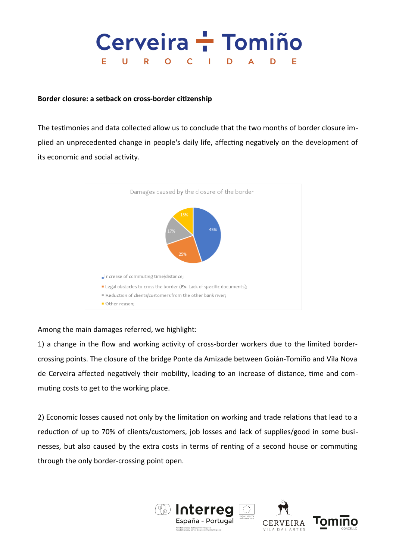### Cerveira - Tomiño  $\mathbf U$  $\mathsf{R}$  $\mathsf{C}$ D Е  $\mathbf{O}$ D

## **Border closure: a setback on cross-border citizenship**

The testimonies and data collected allow us to conclude that the two months of border closure implied an unprecedented change in people's daily life, affecting negatively on the development of its economic and social activity.



Among the main damages referred, we highlight:

1) a change in the flow and working activity of cross-border workers due to the limited bordercrossing points. The closure of the bridge Ponte da Amizade between Goián-Tomiño and Vila Nova de Cerveira affected negatively their mobility, leading to an increase of distance, time and commuting costs to get to the working place.

2) Economic losses caused not only by the limitation on working and trade relations that lead to a reduction of up to 70% of clients/customers, job losses and lack of supplies/good in some businesses, but also caused by the extra costs in terms of renting of a second house or commuting through the only border-crossing point open.